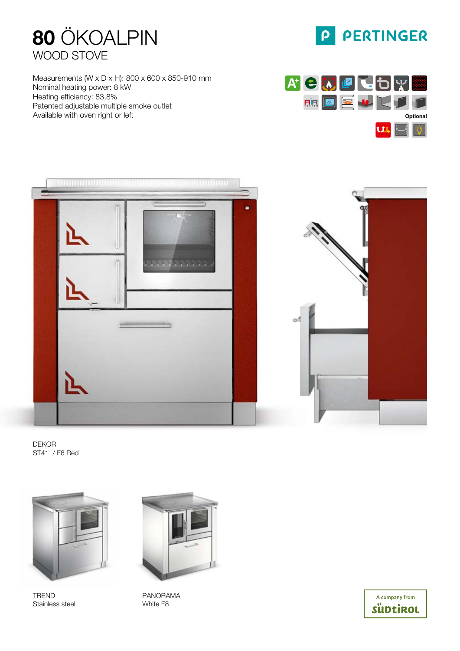

Measurements (W x D x H): 800 x 600 x 850-910 mm Nominal heating power: 8 kW Heating efficiency: 83,8% Patented adjustable multiple smoke outlet Available with oven right or left



P PERTINGER





DEKOR ST41 / F6 Red



TREND Stainless steel



PANORAMA White F8

A company from süptirol